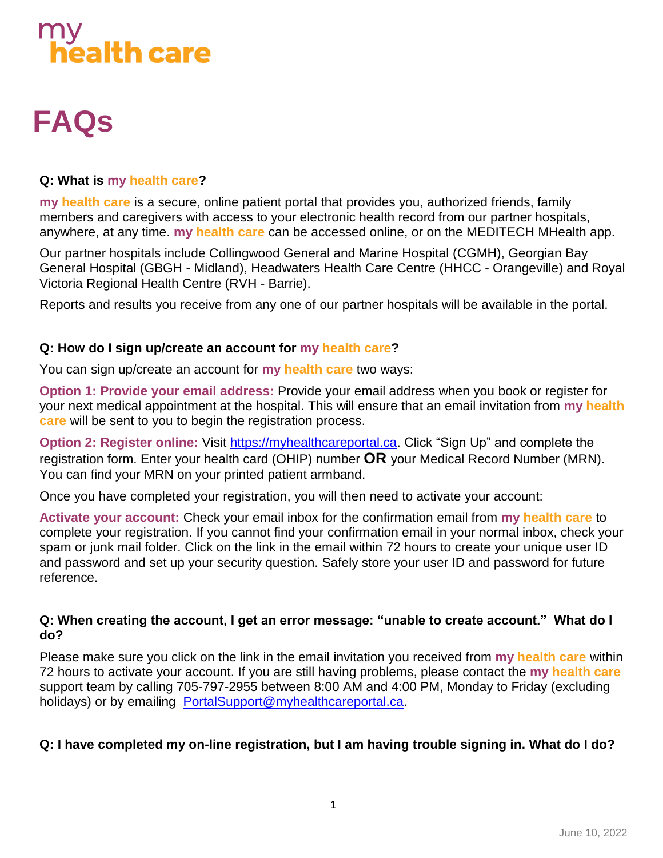# $\frac{1}{2}$ ealth care

# **FAQs**

# **Q: What is my health care?**

**my health care** is a secure, online patient portal that provides you, authorized friends, family members and caregivers with access to your electronic health record from our partner hospitals, anywhere, at any time. **my health care** can be accessed online, or on the MEDITECH MHealth app.

Our partner hospitals include Collingwood General and Marine Hospital (CGMH), Georgian Bay General Hospital (GBGH - Midland), Headwaters Health Care Centre (HHCC - Orangeville) and Royal Victoria Regional Health Centre (RVH - Barrie).

Reports and results you receive from any one of our partner hospitals will be available in the portal.

#### **Q: How do I sign up/create an account for my health care?**

You can sign up/create an account for **my health care** two ways:

**Option 1: Provide your email address:** Provide your email address when you book or register for your next medical appointment at the hospital. This will ensure that an email invitation from **my health care** will be sent to you to begin the registration process.

**Option 2: Register online:** Visit [https://myhealthcareportal.ca.](https://myhealthcareportal.ca/) Click "Sign Up" and complete the registration form. Enter your health card (OHIP) number **OR** your Medical Record Number (MRN). You can find your MRN on your printed patient armband.

Once you have completed your registration, you will then need to activate your account:

**Activate your account:** Check your email inbox for the confirmation email from **my health care** to complete your registration. If you cannot find your confirmation email in your normal inbox, check your spam or junk mail folder. Click on the link in the email within 72 hours to create your unique user ID and password and set up your security question. Safely store your user ID and password for future reference.

#### **Q: When creating the account, I get an error message: "unable to create account." What do I do?**

Please make sure you click on the link in the email invitation you received from **my health care** within 72 hours to activate your account. If you are still having problems, please contact the **my health care** support team by calling 705-797-2955 between 8:00 AM and 4:00 PM, Monday to Friday (excluding holidays) or by emailing [PortalSupport@myhealthcareportal.ca.](mailto:PortalSupport@myhealthcareportal.ca)

# **Q: I have completed my on-line registration, but I am having trouble signing in. What do I do?**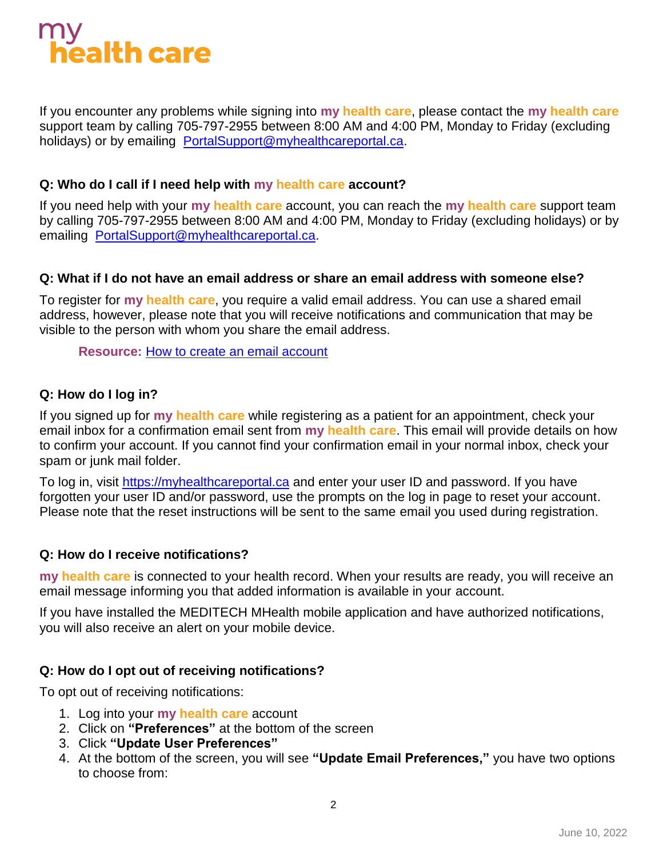# $\frac{1}{2}$ ealth care

If you encounter any problems while signing into **my health care**, please contact the **my health care** support team by calling 705-797-2955 between 8:00 AM and 4:00 PM, Monday to Friday (excluding holidays) or by emailing [PortalSupport@myhealthcareportal.ca.](mailto:PortalSupport@myhealthcareportal.ca)

#### **Q: Who do I call if I need help with my health care account?**

If you need help with your **my health care** account, you can reach the **my health care** support team by calling 705-797-2955 between 8:00 AM and 4:00 PM, Monday to Friday (excluding holidays) or by emailing [PortalSupport@myhealthcareportal.ca.](mailto:PortalSupport@myhealthcareportal.ca)

#### **Q: What if I do not have an email address or share an email address with someone else?**

To register for **my health care**, you require a valid email address. You can use a shared email address, however, please note that you will receive notifications and communication that may be visible to the person with whom you share the email address.

**Resource:** [How to create an email account](http://care-4.ca/wp-content/uploads/2022/04/How-to-create-an-email-account.pdf)

#### **Q: How do I log in?**

If you signed up for **my health care** while registering as a patient for an appointment, check your email inbox for a confirmation email sent from **my health care**. This email will provide details on how to confirm your account. If you cannot find your confirmation email in your normal inbox, check your spam or junk mail folder.

To log in, visit [https://myhealthcareportal.ca](https://myhealthcareportal.ca/) and enter your user ID and password. If you have forgotten your user ID and/or password, use the prompts on the log in page to reset your account. Please note that the reset instructions will be sent to the same email you used during registration.

#### **Q: How do I receive notifications?**

**my health care** is connected to your health record. When your results are ready, you will receive an email message informing you that added information is available in your account.

If you have installed the MEDITECH MHealth mobile application and have authorized notifications, you will also receive an alert on your mobile device.

#### **Q: How do I opt out of receiving notifications?**

To opt out of receiving notifications:

- 1. Log into your **my health care** account
- 2. Click on **"Preferences"** at the bottom of the screen
- 3. Click **"Update User Preferences"**
- 4. At the bottom of the screen, you will see **"Update Email Preferences,"** you have two options to choose from: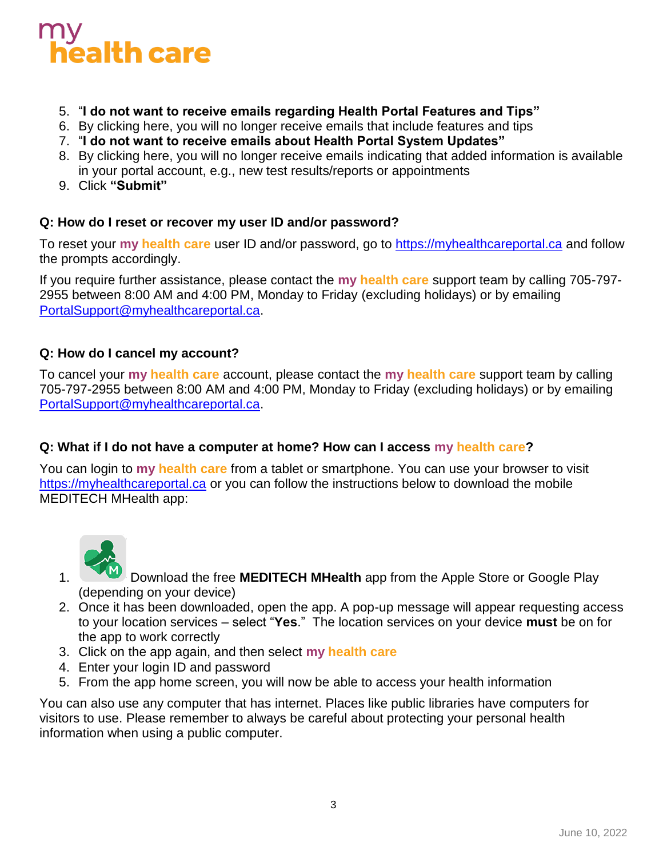# alth care

- 5. "**I do not want to receive emails regarding Health Portal Features and Tips"**
- 6. By clicking here, you will no longer receive emails that include features and tips
- 7. "**I do not want to receive emails about Health Portal System Updates"**
- 8. By clicking here, you will no longer receive emails indicating that added information is available in your portal account, e.g., new test results/reports or appointments
- 9. Click **"Submit"**

#### **Q: How do I reset or recover my user ID and/or password?**

To reset your **my health care** user ID and/or password, go to [https://myhealthcareportal.ca](https://myhealthcareportal.ca/) and follow the prompts accordingly.

If you require further assistance, please contact the **my health care** support team by calling 705-797- 2955 between 8:00 AM and 4:00 PM, Monday to Friday (excluding holidays) or by emailing [PortalSupport@myhealthcareportal.ca.](mailto:PortalSupport@myhealthcareportal.ca)

#### **Q: How do I cancel my account?**

To cancel your **my health care** account, please contact the **my health care** support team by calling 705-797-2955 between 8:00 AM and 4:00 PM, Monday to Friday (excluding holidays) or by emailing [PortalSupport@myhealthcareportal.ca.](mailto:PortalSupport@myhealthcareportal.ca)

#### **Q: What if I do not have a computer at home? How can I access my health care?**

You can login to **my health care** from a tablet or smartphone. You can use your browser to visit [https://myhealthcareportal.ca](https://myhealthcareportal.ca/) or you can follow the instructions below to download the mobile MEDITECH MHealth app:



- 1. Download the free **MEDITECH MHealth** app from the Apple Store or Google Play (depending on your device)
- 2. Once it has been downloaded, open the app. A pop-up message will appear requesting access to your location services – select "**Yes**." The location services on your device **must** be on for the app to work correctly
- 3. Click on the app again, and then select **my health care**
- 4. Enter your login ID and password
- 5. From the app home screen, you will now be able to access your health information

You can also use any computer that has internet. Places like public libraries have computers for visitors to use. Please remember to always be careful about protecting your personal health information when using a public computer.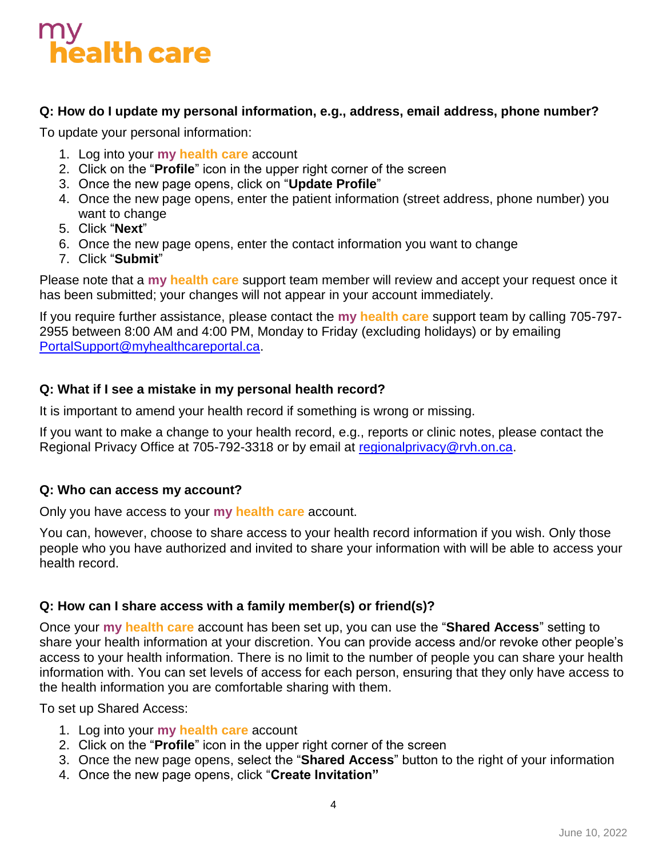# $\frac{5}{1}$ ealth care

### **Q: How do I update my personal information, e.g., address, email address, phone number?**

To update your personal information:

- 1. Log into your **my health care** account
- 2. Click on the "**Profile**" icon in the upper right corner of the screen
- 3. Once the new page opens, click on "**Update Profile**"
- 4. Once the new page opens, enter the patient information (street address, phone number) you want to change
- 5. Click "**Next**"
- 6. Once the new page opens, enter the contact information you want to change
- 7. Click "**Submit**"

Please note that a **my health care** support team member will review and accept your request once it has been submitted; your changes will not appear in your account immediately.

If you require further assistance, please contact the **my health care** support team by calling 705-797- 2955 between 8:00 AM and 4:00 PM, Monday to Friday (excluding holidays) or by emailing [PortalSupport@myhealthcareportal.ca.](mailto:PortalSupport@myhealthcareportal.ca)

#### **Q: What if I see a mistake in my personal health record?**

It is important to amend your health record if something is wrong or missing.

If you want to make a change to your health record, e.g., reports or clinic notes, please contact the Regional Privacy Office at 705-792-3318 or by email at [regionalprivacy@rvh.on.ca.](mailto:regionalprivacy@rvh.on.ca)

#### **Q: Who can access my account?**

Only you have access to your **my health care** account.

You can, however, choose to share access to your health record information if you wish. Only those people who you have authorized and invited to share your information with will be able to access your health record.

#### **Q: How can I share access with a family member(s) or friend(s)?**

Once your **my health care** account has been set up, you can use the "**Shared Access**" setting to share your health information at your discretion. You can provide access and/or revoke other people's access to your health information. There is no limit to the number of people you can share your health information with. You can set levels of access for each person, ensuring that they only have access to the health information you are comfortable sharing with them.

To set up Shared Access:

- 1. Log into your **my health care** account
- 2. Click on the "**Profile**" icon in the upper right corner of the screen
- 3. Once the new page opens, select the "**Shared Access**" button to the right of your information
- 4. Once the new page opens, click "**Create Invitation"**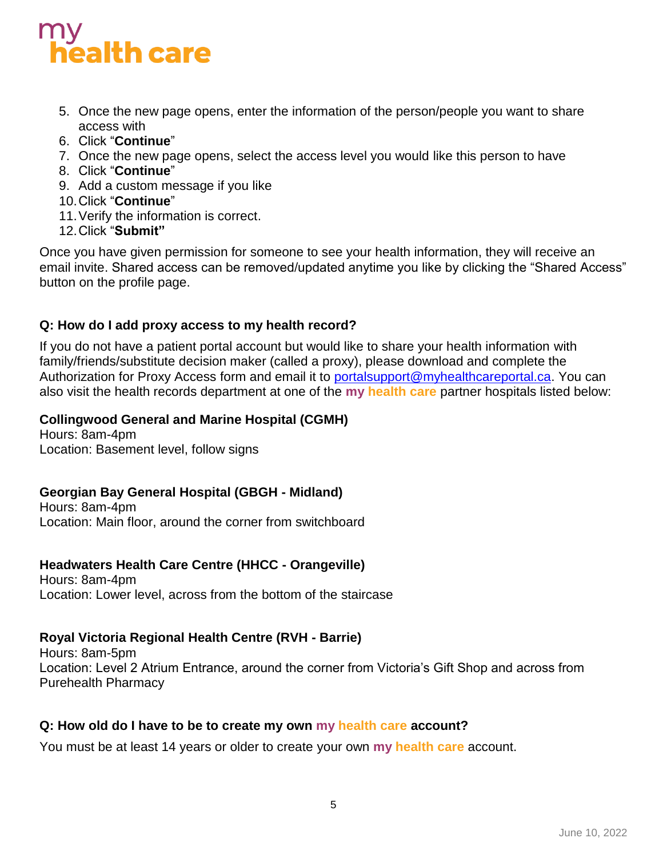# ealth care

- 5. Once the new page opens, enter the information of the person/people you want to share access with
- 6. Click "**Continue**"
- 7. Once the new page opens, select the access level you would like this person to have
- 8. Click "**Continue**"
- 9. Add a custom message if you like
- 10.Click "**Continue**"
- 11.Verify the information is correct.
- 12.Click "**Submit"**

Once you have given permission for someone to see your health information, they will receive an email invite. Shared access can be removed/updated anytime you like by clicking the "Shared Access" button on the profile page.

# **Q: How do I add proxy access to my health record?**

If you do not have a patient portal account but would like to share your health information with family/friends/substitute decision maker (called a proxy), please download and complete the Authorization for Proxy Access form and email it to [portalsupport@myhealthcareportal.ca.](mailto:portalsupport@myhealthcareportal.ca) You can also visit the health records department at one of the **my health care** partner hospitals listed below:

# **Collingwood General and Marine Hospital (CGMH)**

Hours: 8am-4pm Location: Basement level, follow signs

# **Georgian Bay General Hospital (GBGH - Midland)**

Hours: 8am-4pm Location: Main floor, around the corner from switchboard

# **Headwaters Health Care Centre (HHCC - Orangeville)**

Hours: 8am-4pm Location: Lower level, across from the bottom of the staircase

# **Royal Victoria Regional Health Centre (RVH - Barrie)**

Hours: 8am-5pm Location: Level 2 Atrium Entrance, around the corner from Victoria's Gift Shop and across from Purehealth Pharmacy

# **Q: How old do I have to be to create my own my health care account?**

You must be at least 14 years or older to create your own **my health care** account.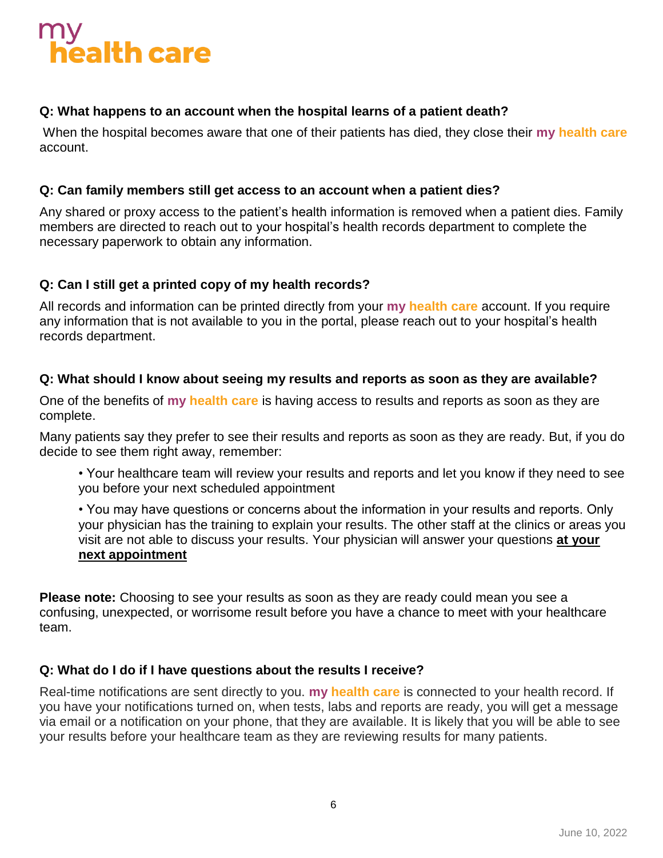# ealth care

### **Q: What happens to an account when the hospital learns of a patient death?**

When the hospital becomes aware that one of their patients has died, they close their **my health care** account.

#### **Q: Can family members still get access to an account when a patient dies?**

Any shared or proxy access to the patient's health information is removed when a patient dies. Family members are directed to reach out to your hospital's health records department to complete the necessary paperwork to obtain any information.

#### **Q: Can I still get a printed copy of my health records?**

All records and information can be printed directly from your **my health care** account. If you require any information that is not available to you in the portal, please reach out to your hospital's health records department.

#### **Q: What should I know about seeing my results and reports as soon as they are available?**

One of the benefits of **my health care** is having access to results and reports as soon as they are complete.

Many patients say they prefer to see their results and reports as soon as they are ready. But, if you do decide to see them right away, remember:

• Your healthcare team will review your results and reports and let you know if they need to see you before your next scheduled appointment

• You may have questions or concerns about the information in your results and reports. Only your physician has the training to explain your results. The other staff at the clinics or areas you visit are not able to discuss your results. Your physician will answer your questions **at your next appointment**

**Please note:** Choosing to see your results as soon as they are ready could mean you see a confusing, unexpected, or worrisome result before you have a chance to meet with your healthcare team.

# **Q: What do I do if I have questions about the results I receive?**

Real-time notifications are sent directly to you. **my health care** is connected to your health record. If you have your notifications turned on, when tests, labs and reports are ready, you will get a message via email or a notification on your phone, that they are available. It is likely that you will be able to see your results before your healthcare team as they are reviewing results for many patients.